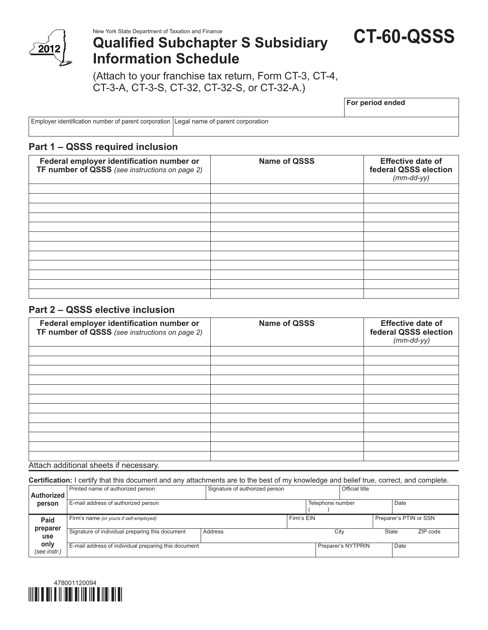

New York State Department of Taxation and Finance

# **Qualified Subchapter S Subsidiary Information Schedule**

**CT-60-QSSS**

(Attach to your franchise tax return, Form CT-3, CT-4, CT-3-A, CT-3-S, CT-32, CT-32-S, or CT-32-A.)

**For period ended**

Employer identification number of parent corporation Legal name of parent corporation

# **Part 1 – QSSS required inclusion**

| Federal employer identification number or<br>TF number of QSSS (see instructions on page 2) | <b>Name of QSSS</b> |  |
|---------------------------------------------------------------------------------------------|---------------------|--|
|                                                                                             |                     |  |
|                                                                                             |                     |  |
|                                                                                             |                     |  |
|                                                                                             |                     |  |
|                                                                                             |                     |  |
|                                                                                             |                     |  |
|                                                                                             |                     |  |
|                                                                                             |                     |  |
|                                                                                             |                     |  |
|                                                                                             |                     |  |
|                                                                                             |                     |  |

# **Part 2 – QSSS elective inclusion**

| Federal employer identification number or<br>TF number of QSSS (see instructions on page 2) | <b>Name of QSSS</b> | <b>Effective date of</b><br>federal QSSS election<br>$(mm$ -dd-yy $)$ |  |  |
|---------------------------------------------------------------------------------------------|---------------------|-----------------------------------------------------------------------|--|--|
|                                                                                             |                     |                                                                       |  |  |
|                                                                                             |                     |                                                                       |  |  |
|                                                                                             |                     |                                                                       |  |  |
|                                                                                             |                     |                                                                       |  |  |
|                                                                                             |                     |                                                                       |  |  |
|                                                                                             |                     |                                                                       |  |  |
|                                                                                             |                     |                                                                       |  |  |
|                                                                                             |                     |                                                                       |  |  |
|                                                                                             |                     |                                                                       |  |  |
|                                                                                             |                     |                                                                       |  |  |
|                                                                                             |                     |                                                                       |  |  |
|                                                                                             |                     |                                                                       |  |  |

#### Attach additional sheets if necessary.

**Certification:** I certify that this document and any attachments are to the best of my knowledge and belief true, correct, and complete.

| Authorized           | Printed name of authorized person                    | Signature of authorized person |            |                  | Official title     |       |                        |          |
|----------------------|------------------------------------------------------|--------------------------------|------------|------------------|--------------------|-------|------------------------|----------|
| person               | E-mail address of authorized person                  |                                |            | Telephone number |                    |       | Date                   |          |
| Paid                 | Firm's name (or yours if self-employed)              |                                | Firm's EIN |                  |                    |       | Preparer's PTIN or SSN |          |
| preparer<br>use      | Signature of individual preparing this document      | Address                        |            |                  | City               | State |                        | ZIP code |
| only<br>(see instr.) | E-mail address of individual preparing this document |                                |            |                  | Preparer's NYTPRIN |       | Date                   |          |